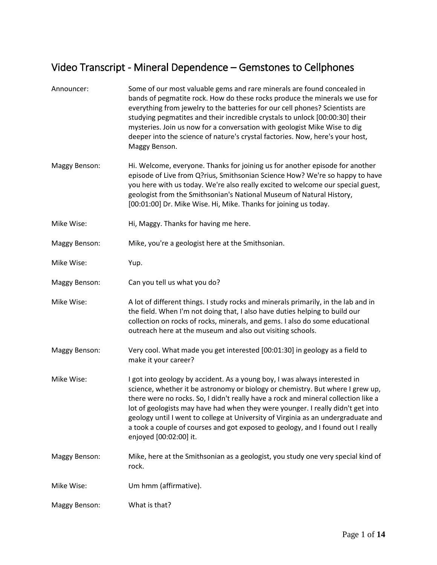## Video Transcript - Mineral Dependence – Gemstones to Cellphones

| Announcer:    | Some of our most valuable gems and rare minerals are found concealed in<br>bands of pegmatite rock. How do these rocks produce the minerals we use for<br>everything from jewelry to the batteries for our cell phones? Scientists are<br>studying pegmatites and their incredible crystals to unlock [00:00:30] their<br>mysteries. Join us now for a conversation with geologist Mike Wise to dig<br>deeper into the science of nature's crystal factories. Now, here's your host,<br>Maggy Benson.                                   |
|---------------|-----------------------------------------------------------------------------------------------------------------------------------------------------------------------------------------------------------------------------------------------------------------------------------------------------------------------------------------------------------------------------------------------------------------------------------------------------------------------------------------------------------------------------------------|
| Maggy Benson: | Hi. Welcome, everyone. Thanks for joining us for another episode for another<br>episode of Live from Q?rius, Smithsonian Science How? We're so happy to have<br>you here with us today. We're also really excited to welcome our special guest,<br>geologist from the Smithsonian's National Museum of Natural History,<br>[00:01:00] Dr. Mike Wise. Hi, Mike. Thanks for joining us today.                                                                                                                                             |
| Mike Wise:    | Hi, Maggy. Thanks for having me here.                                                                                                                                                                                                                                                                                                                                                                                                                                                                                                   |
| Maggy Benson: | Mike, you're a geologist here at the Smithsonian.                                                                                                                                                                                                                                                                                                                                                                                                                                                                                       |
| Mike Wise:    | Yup.                                                                                                                                                                                                                                                                                                                                                                                                                                                                                                                                    |
| Maggy Benson: | Can you tell us what you do?                                                                                                                                                                                                                                                                                                                                                                                                                                                                                                            |
| Mike Wise:    | A lot of different things. I study rocks and minerals primarily, in the lab and in<br>the field. When I'm not doing that, I also have duties helping to build our<br>collection on rocks of rocks, minerals, and gems. I also do some educational<br>outreach here at the museum and also out visiting schools.                                                                                                                                                                                                                         |
| Maggy Benson: | Very cool. What made you get interested [00:01:30] in geology as a field to<br>make it your career?                                                                                                                                                                                                                                                                                                                                                                                                                                     |
| Mike Wise:    | I got into geology by accident. As a young boy, I was always interested in<br>science, whether it be astronomy or biology or chemistry. But where I grew up,<br>there were no rocks. So, I didn't really have a rock and mineral collection like a<br>lot of geologists may have had when they were younger. I really didn't get into<br>geology until I went to college at University of Virginia as an undergraduate and<br>a took a couple of courses and got exposed to geology, and I found out I really<br>enjoyed [00:02:00] it. |
| Maggy Benson: | Mike, here at the Smithsonian as a geologist, you study one very special kind of<br>rock.                                                                                                                                                                                                                                                                                                                                                                                                                                               |
| Mike Wise:    | Um hmm (affirmative).                                                                                                                                                                                                                                                                                                                                                                                                                                                                                                                   |
| Maggy Benson: | What is that?                                                                                                                                                                                                                                                                                                                                                                                                                                                                                                                           |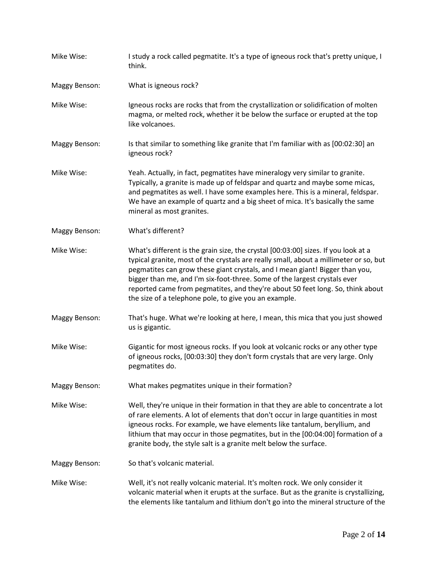Mike Wise: I study a rock called pegmatite. It's a type of igneous rock that's pretty unique, I think. Maggy Benson: What is igneous rock? Mike Wise: Igneous rocks are rocks that from the crystallization or solidification of molten magma, or melted rock, whether it be below the surface or erupted at the top like volcanoes. Maggy Benson: Is that similar to something like granite that I'm familiar with as [00:02:30] an igneous rock? Mike Wise: Yeah. Actually, in fact, pegmatites have mineralogy very similar to granite. Typically, a granite is made up of feldspar and quartz and maybe some micas, and pegmatites as well. I have some examples here. This is a mineral, feldspar. We have an example of quartz and a big sheet of mica. It's basically the same mineral as most granites. Maggy Benson: What's different? Mike Wise: What's different is the grain size, the crystal [00:03:00] sizes. If you look at a typical granite, most of the crystals are really small, about a millimeter or so, but pegmatites can grow these giant crystals, and I mean giant! Bigger than you, bigger than me, and I'm six-foot-three. Some of the largest crystals ever reported came from pegmatites, and they're about 50 feet long. So, think about the size of a telephone pole, to give you an example. Maggy Benson: That's huge. What we're looking at here, I mean, this mica that you just showed us is gigantic. Mike Wise: Gigantic for most igneous rocks. If you look at volcanic rocks or any other type of igneous rocks, [00:03:30] they don't form crystals that are very large. Only pegmatites do. Maggy Benson: What makes pegmatites unique in their formation? Mike Wise: Well, they're unique in their formation in that they are able to concentrate a lot of rare elements. A lot of elements that don't occur in large quantities in most igneous rocks. For example, we have elements like tantalum, beryllium, and lithium that may occur in those pegmatites, but in the [00:04:00] formation of a granite body, the style salt is a granite melt below the surface. Maggy Benson: So that's volcanic material. Mike Wise: Well, it's not really volcanic material. It's molten rock. We only consider it volcanic material when it erupts at the surface. But as the granite is crystallizing, the elements like tantalum and lithium don't go into the mineral structure of the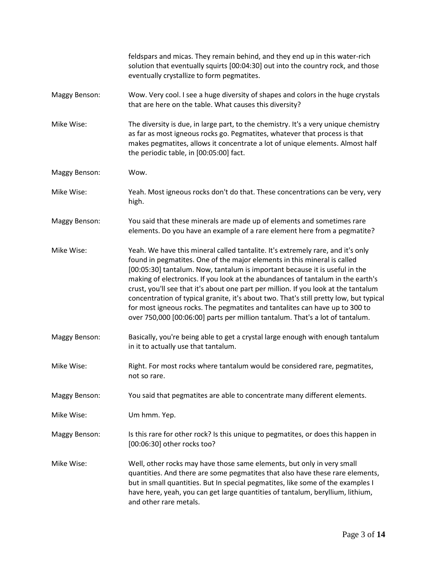|                      | feldspars and micas. They remain behind, and they end up in this water-rich<br>solution that eventually squirts [00:04:30] out into the country rock, and those<br>eventually crystallize to form pegmatites.                                                                                                                                                                                                                                                                                                                                                                                                                                                                  |
|----------------------|--------------------------------------------------------------------------------------------------------------------------------------------------------------------------------------------------------------------------------------------------------------------------------------------------------------------------------------------------------------------------------------------------------------------------------------------------------------------------------------------------------------------------------------------------------------------------------------------------------------------------------------------------------------------------------|
| Maggy Benson:        | Wow. Very cool. I see a huge diversity of shapes and colors in the huge crystals<br>that are here on the table. What causes this diversity?                                                                                                                                                                                                                                                                                                                                                                                                                                                                                                                                    |
| Mike Wise:           | The diversity is due, in large part, to the chemistry. It's a very unique chemistry<br>as far as most igneous rocks go. Pegmatites, whatever that process is that<br>makes pegmatites, allows it concentrate a lot of unique elements. Almost half<br>the periodic table, in [00:05:00] fact.                                                                                                                                                                                                                                                                                                                                                                                  |
| Maggy Benson:        | Wow.                                                                                                                                                                                                                                                                                                                                                                                                                                                                                                                                                                                                                                                                           |
| Mike Wise:           | Yeah. Most igneous rocks don't do that. These concentrations can be very, very<br>high.                                                                                                                                                                                                                                                                                                                                                                                                                                                                                                                                                                                        |
| Maggy Benson:        | You said that these minerals are made up of elements and sometimes rare<br>elements. Do you have an example of a rare element here from a pegmatite?                                                                                                                                                                                                                                                                                                                                                                                                                                                                                                                           |
| Mike Wise:           | Yeah. We have this mineral called tantalite. It's extremely rare, and it's only<br>found in pegmatites. One of the major elements in this mineral is called<br>[00:05:30] tantalum. Now, tantalum is important because it is useful in the<br>making of electronics. If you look at the abundances of tantalum in the earth's<br>crust, you'll see that it's about one part per million. If you look at the tantalum<br>concentration of typical granite, it's about two. That's still pretty low, but typical<br>for most igneous rocks. The pegmatites and tantalites can have up to 300 to<br>over 750,000 [00:06:00] parts per million tantalum. That's a lot of tantalum. |
| Maggy Benson:        | Basically, you're being able to get a crystal large enough with enough tantalum<br>in it to actually use that tantalum.                                                                                                                                                                                                                                                                                                                                                                                                                                                                                                                                                        |
| Mike Wise:           | Right. For most rocks where tantalum would be considered rare, pegmatites,<br>not so rare.                                                                                                                                                                                                                                                                                                                                                                                                                                                                                                                                                                                     |
| <b>Maggy Benson:</b> | You said that pegmatites are able to concentrate many different elements.                                                                                                                                                                                                                                                                                                                                                                                                                                                                                                                                                                                                      |
| Mike Wise:           | Um hmm. Yep.                                                                                                                                                                                                                                                                                                                                                                                                                                                                                                                                                                                                                                                                   |
| Maggy Benson:        | Is this rare for other rock? Is this unique to pegmatites, or does this happen in<br>[00:06:30] other rocks too?                                                                                                                                                                                                                                                                                                                                                                                                                                                                                                                                                               |
| Mike Wise:           | Well, other rocks may have those same elements, but only in very small<br>quantities. And there are some pegmatites that also have these rare elements,<br>but in small quantities. But In special pegmatites, like some of the examples I<br>have here, yeah, you can get large quantities of tantalum, beryllium, lithium,<br>and other rare metals.                                                                                                                                                                                                                                                                                                                         |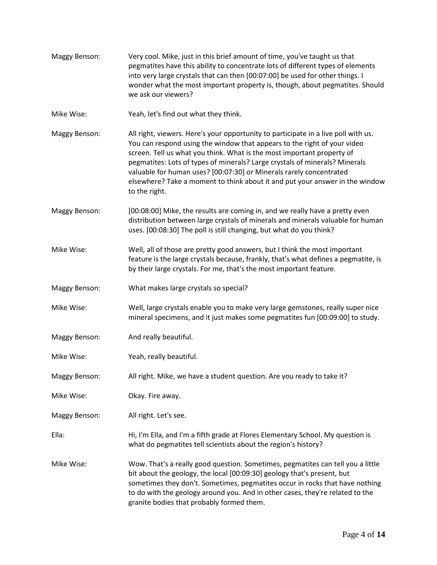| Maggy Benson: | Very cool. Mike, just in this brief amount of time, you've taught us that<br>pegmatites have this ability to concentrate lots of different types of elements<br>into very large crystals that can then [00:07:00] be used for other things. I<br>wonder what the most important property is, though, about pegmatites. Should<br>we ask our viewers?                                                                                                                                            |
|---------------|-------------------------------------------------------------------------------------------------------------------------------------------------------------------------------------------------------------------------------------------------------------------------------------------------------------------------------------------------------------------------------------------------------------------------------------------------------------------------------------------------|
| Mike Wise:    | Yeah, let's find out what they think.                                                                                                                                                                                                                                                                                                                                                                                                                                                           |
| Maggy Benson: | All right, viewers. Here's your opportunity to participate in a live poll with us.<br>You can respond using the window that appears to the right of your video<br>screen. Tell us what you think. What is the most important property of<br>pegmatites: Lots of types of minerals? Large crystals of minerals? Minerals<br>valuable for human uses? [00:07:30] or Minerals rarely concentrated<br>elsewhere? Take a moment to think about it and put your answer in the window<br>to the right. |
| Maggy Benson: | [00:08:00] Mike, the results are coming in, and we really have a pretty even<br>distribution between large crystals of minerals and minerals valuable for human<br>uses. [00:08:30] The poll is still changing, but what do you think?                                                                                                                                                                                                                                                          |
| Mike Wise:    | Well, all of those are pretty good answers, but I think the most important<br>feature is the large crystals because, frankly, that's what defines a pegmatite, is<br>by their large crystals. For me, that's the most important feature.                                                                                                                                                                                                                                                        |
| Maggy Benson: | What makes large crystals so special?                                                                                                                                                                                                                                                                                                                                                                                                                                                           |
| Mike Wise:    | Well, large crystals enable you to make very large gemstones, really super nice<br>mineral specimens, and it just makes some pegmatites fun [00:09:00] to study.                                                                                                                                                                                                                                                                                                                                |
| Maggy Benson: | And really beautiful.                                                                                                                                                                                                                                                                                                                                                                                                                                                                           |
| Mike Wise:    | Yeah, really beautiful.                                                                                                                                                                                                                                                                                                                                                                                                                                                                         |
| Maggy Benson: | All right. Mike, we have a student question. Are you ready to take it?                                                                                                                                                                                                                                                                                                                                                                                                                          |
| Mike Wise:    | Okay. Fire away.                                                                                                                                                                                                                                                                                                                                                                                                                                                                                |
| Maggy Benson: | All right. Let's see.                                                                                                                                                                                                                                                                                                                                                                                                                                                                           |
| Ella:         | Hi, I'm Ella, and I'm a fifth grade at Flores Elementary School. My question is<br>what do pegmatites tell scientists about the region's history?                                                                                                                                                                                                                                                                                                                                               |
| Mike Wise:    | Wow. That's a really good question. Sometimes, pegmatites can tell you a little<br>bit about the geology, the local [00:09:30] geology that's present, but<br>sometimes they don't. Sometimes, pegmatites occur in rocks that have nothing<br>to do with the geology around you. And in other cases, they're related to the<br>granite bodies that probably formed them.                                                                                                                        |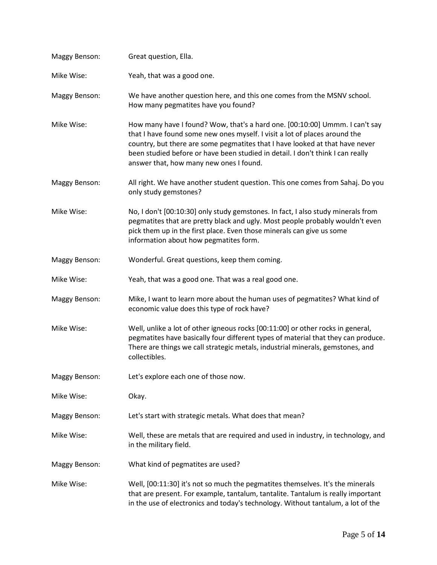| Maggy Benson:        | Great question, Ella.                                                                                                                                                                                                                                                                                                                                                  |
|----------------------|------------------------------------------------------------------------------------------------------------------------------------------------------------------------------------------------------------------------------------------------------------------------------------------------------------------------------------------------------------------------|
| Mike Wise:           | Yeah, that was a good one.                                                                                                                                                                                                                                                                                                                                             |
| Maggy Benson:        | We have another question here, and this one comes from the MSNV school.<br>How many pegmatites have you found?                                                                                                                                                                                                                                                         |
| Mike Wise:           | How many have I found? Wow, that's a hard one. [00:10:00] Ummm. I can't say<br>that I have found some new ones myself. I visit a lot of places around the<br>country, but there are some pegmatites that I have looked at that have never<br>been studied before or have been studied in detail. I don't think I can really<br>answer that, how many new ones I found. |
| Maggy Benson:        | All right. We have another student question. This one comes from Sahaj. Do you<br>only study gemstones?                                                                                                                                                                                                                                                                |
| Mike Wise:           | No, I don't [00:10:30] only study gemstones. In fact, I also study minerals from<br>pegmatites that are pretty black and ugly. Most people probably wouldn't even<br>pick them up in the first place. Even those minerals can give us some<br>information about how pegmatites form.                                                                                   |
| Maggy Benson:        | Wonderful. Great questions, keep them coming.                                                                                                                                                                                                                                                                                                                          |
| Mike Wise:           | Yeah, that was a good one. That was a real good one.                                                                                                                                                                                                                                                                                                                   |
| Maggy Benson:        | Mike, I want to learn more about the human uses of pegmatites? What kind of<br>economic value does this type of rock have?                                                                                                                                                                                                                                             |
| Mike Wise:           | Well, unlike a lot of other igneous rocks [00:11:00] or other rocks in general,<br>pegmatites have basically four different types of material that they can produce.<br>There are things we call strategic metals, industrial minerals, gemstones, and<br>collectibles.                                                                                                |
| <b>Maggy Benson:</b> | Let's explore each one of those now.                                                                                                                                                                                                                                                                                                                                   |
| Mike Wise:           | Okay.                                                                                                                                                                                                                                                                                                                                                                  |
| <b>Maggy Benson:</b> | Let's start with strategic metals. What does that mean?                                                                                                                                                                                                                                                                                                                |
| Mike Wise:           | Well, these are metals that are required and used in industry, in technology, and<br>in the military field.                                                                                                                                                                                                                                                            |
| Maggy Benson:        | What kind of pegmatites are used?                                                                                                                                                                                                                                                                                                                                      |
| Mike Wise:           | Well, [00:11:30] it's not so much the pegmatites themselves. It's the minerals<br>that are present. For example, tantalum, tantalite. Tantalum is really important<br>in the use of electronics and today's technology. Without tantalum, a lot of the                                                                                                                 |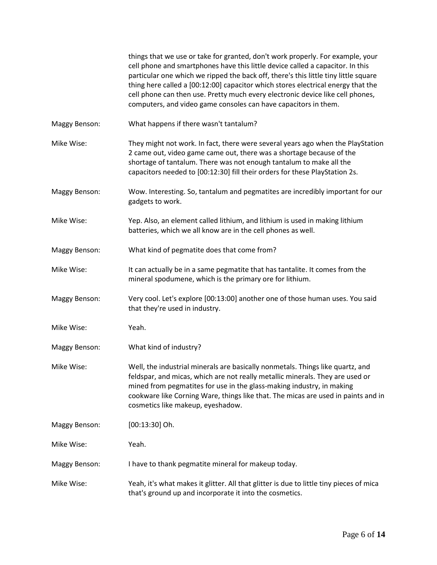|                      | things that we use or take for granted, don't work properly. For example, your<br>cell phone and smartphones have this little device called a capacitor. In this<br>particular one which we ripped the back off, there's this little tiny little square<br>thing here called a [00:12:00] capacitor which stores electrical energy that the<br>cell phone can then use. Pretty much every electronic device like cell phones,<br>computers, and video game consoles can have capacitors in them. |
|----------------------|--------------------------------------------------------------------------------------------------------------------------------------------------------------------------------------------------------------------------------------------------------------------------------------------------------------------------------------------------------------------------------------------------------------------------------------------------------------------------------------------------|
| <b>Maggy Benson:</b> | What happens if there wasn't tantalum?                                                                                                                                                                                                                                                                                                                                                                                                                                                           |
| Mike Wise:           | They might not work. In fact, there were several years ago when the PlayStation<br>2 came out, video game came out, there was a shortage because of the<br>shortage of tantalum. There was not enough tantalum to make all the<br>capacitors needed to [00:12:30] fill their orders for these PlayStation 2s.                                                                                                                                                                                    |
| Maggy Benson:        | Wow. Interesting. So, tantalum and pegmatites are incredibly important for our<br>gadgets to work.                                                                                                                                                                                                                                                                                                                                                                                               |
| Mike Wise:           | Yep. Also, an element called lithium, and lithium is used in making lithium<br>batteries, which we all know are in the cell phones as well.                                                                                                                                                                                                                                                                                                                                                      |
| Maggy Benson:        | What kind of pegmatite does that come from?                                                                                                                                                                                                                                                                                                                                                                                                                                                      |
| Mike Wise:           | It can actually be in a same pegmatite that has tantalite. It comes from the<br>mineral spodumene, which is the primary ore for lithium.                                                                                                                                                                                                                                                                                                                                                         |
| Maggy Benson:        | Very cool. Let's explore [00:13:00] another one of those human uses. You said<br>that they're used in industry.                                                                                                                                                                                                                                                                                                                                                                                  |
| Mike Wise:           | Yeah.                                                                                                                                                                                                                                                                                                                                                                                                                                                                                            |
| Maggy Benson:        | What kind of industry?                                                                                                                                                                                                                                                                                                                                                                                                                                                                           |
| Mike Wise:           | Well, the industrial minerals are basically nonmetals. Things like quartz, and<br>feldspar, and micas, which are not really metallic minerals. They are used or<br>mined from pegmatites for use in the glass-making industry, in making<br>cookware like Corning Ware, things like that. The micas are used in paints and in<br>cosmetics like makeup, eyeshadow.                                                                                                                               |
| Maggy Benson:        | $[00:13:30]$ Oh.                                                                                                                                                                                                                                                                                                                                                                                                                                                                                 |
| Mike Wise:           | Yeah.                                                                                                                                                                                                                                                                                                                                                                                                                                                                                            |
| Maggy Benson:        | I have to thank pegmatite mineral for makeup today.                                                                                                                                                                                                                                                                                                                                                                                                                                              |
| Mike Wise:           | Yeah, it's what makes it glitter. All that glitter is due to little tiny pieces of mica<br>that's ground up and incorporate it into the cosmetics.                                                                                                                                                                                                                                                                                                                                               |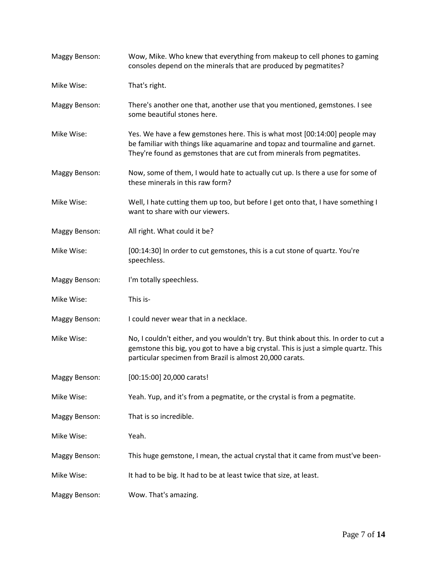| Maggy Benson:        | Wow, Mike. Who knew that everything from makeup to cell phones to gaming<br>consoles depend on the minerals that are produced by pegmatites?                                                                                             |
|----------------------|------------------------------------------------------------------------------------------------------------------------------------------------------------------------------------------------------------------------------------------|
| Mike Wise:           | That's right.                                                                                                                                                                                                                            |
| Maggy Benson:        | There's another one that, another use that you mentioned, gemstones. I see<br>some beautiful stones here.                                                                                                                                |
| Mike Wise:           | Yes. We have a few gemstones here. This is what most [00:14:00] people may<br>be familiar with things like aquamarine and topaz and tourmaline and garnet.<br>They're found as gemstones that are cut from minerals from pegmatites.     |
| Maggy Benson:        | Now, some of them, I would hate to actually cut up. Is there a use for some of<br>these minerals in this raw form?                                                                                                                       |
| Mike Wise:           | Well, I hate cutting them up too, but before I get onto that, I have something I<br>want to share with our viewers.                                                                                                                      |
| Maggy Benson:        | All right. What could it be?                                                                                                                                                                                                             |
| Mike Wise:           | [00:14:30] In order to cut gemstones, this is a cut stone of quartz. You're<br>speechless.                                                                                                                                               |
| Maggy Benson:        | I'm totally speechless.                                                                                                                                                                                                                  |
| Mike Wise:           | This is-                                                                                                                                                                                                                                 |
| <b>Maggy Benson:</b> | I could never wear that in a necklace.                                                                                                                                                                                                   |
| Mike Wise:           | No, I couldn't either, and you wouldn't try. But think about this. In order to cut a<br>gemstone this big, you got to have a big crystal. This is just a simple quartz. This<br>particular specimen from Brazil is almost 20,000 carats. |
| Maggy Benson:        | [00:15:00] 20,000 carats!                                                                                                                                                                                                                |
| Mike Wise:           | Yeah. Yup, and it's from a pegmatite, or the crystal is from a pegmatite.                                                                                                                                                                |
| <b>Maggy Benson:</b> | That is so incredible.                                                                                                                                                                                                                   |
| Mike Wise:           | Yeah.                                                                                                                                                                                                                                    |
| <b>Maggy Benson:</b> | This huge gemstone, I mean, the actual crystal that it came from must've been-                                                                                                                                                           |
| Mike Wise:           | It had to be big. It had to be at least twice that size, at least.                                                                                                                                                                       |
| Maggy Benson:        | Wow. That's amazing.                                                                                                                                                                                                                     |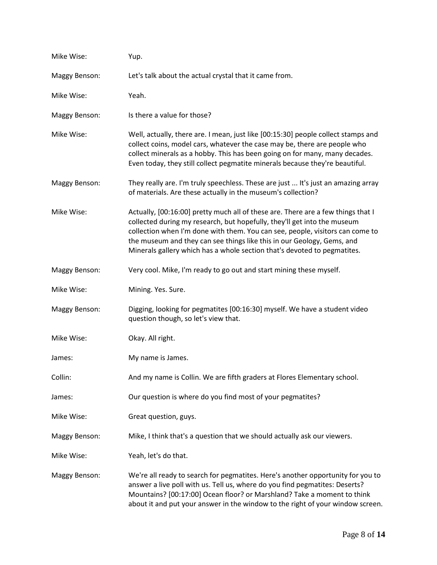| Mike Wise:           | Yup.                                                                                                                                                                                                                                                                                                                                                                                                |
|----------------------|-----------------------------------------------------------------------------------------------------------------------------------------------------------------------------------------------------------------------------------------------------------------------------------------------------------------------------------------------------------------------------------------------------|
| Maggy Benson:        | Let's talk about the actual crystal that it came from.                                                                                                                                                                                                                                                                                                                                              |
| Mike Wise:           | Yeah.                                                                                                                                                                                                                                                                                                                                                                                               |
| <b>Maggy Benson:</b> | Is there a value for those?                                                                                                                                                                                                                                                                                                                                                                         |
| Mike Wise:           | Well, actually, there are. I mean, just like [00:15:30] people collect stamps and<br>collect coins, model cars, whatever the case may be, there are people who<br>collect minerals as a hobby. This has been going on for many, many decades.<br>Even today, they still collect pegmatite minerals because they're beautiful.                                                                       |
| Maggy Benson:        | They really are. I'm truly speechless. These are just  It's just an amazing array<br>of materials. Are these actually in the museum's collection?                                                                                                                                                                                                                                                   |
| Mike Wise:           | Actually, [00:16:00] pretty much all of these are. There are a few things that I<br>collected during my research, but hopefully, they'll get into the museum<br>collection when I'm done with them. You can see, people, visitors can come to<br>the museum and they can see things like this in our Geology, Gems, and<br>Minerals gallery which has a whole section that's devoted to pegmatites. |
| Maggy Benson:        | Very cool. Mike, I'm ready to go out and start mining these myself.                                                                                                                                                                                                                                                                                                                                 |
| Mike Wise:           | Mining. Yes. Sure.                                                                                                                                                                                                                                                                                                                                                                                  |
| Maggy Benson:        | Digging, looking for pegmatites [00:16:30] myself. We have a student video<br>question though, so let's view that.                                                                                                                                                                                                                                                                                  |
| Mike Wise:           | Okay. All right.                                                                                                                                                                                                                                                                                                                                                                                    |
| James:               | My name is James.                                                                                                                                                                                                                                                                                                                                                                                   |
| Collin:              | And my name is Collin. We are fifth graders at Flores Elementary school.                                                                                                                                                                                                                                                                                                                            |
| James:               | Our question is where do you find most of your pegmatites?                                                                                                                                                                                                                                                                                                                                          |
| Mike Wise:           | Great question, guys.                                                                                                                                                                                                                                                                                                                                                                               |
| Maggy Benson:        | Mike, I think that's a question that we should actually ask our viewers.                                                                                                                                                                                                                                                                                                                            |
| Mike Wise:           | Yeah, let's do that.                                                                                                                                                                                                                                                                                                                                                                                |
| Maggy Benson:        | We're all ready to search for pegmatites. Here's another opportunity for you to<br>answer a live poll with us. Tell us, where do you find pegmatites: Deserts?<br>Mountains? [00:17:00] Ocean floor? or Marshland? Take a moment to think<br>about it and put your answer in the window to the right of your window screen.                                                                         |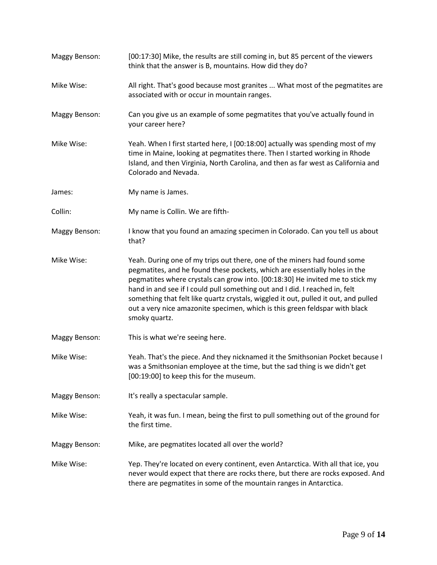Maggy Benson: [00:17:30] Mike, the results are still coming in, but 85 percent of the viewers think that the answer is B, mountains. How did they do? Mike Wise: All right. That's good because most granites ... What most of the pegmatites are associated with or occur in mountain ranges. Maggy Benson: Can you give us an example of some pegmatites that you've actually found in your career here? Mike Wise: Yeah. When I first started here, I [00:18:00] actually was spending most of my time in Maine, looking at pegmatites there. Then I started working in Rhode Island, and then Virginia, North Carolina, and then as far west as California and Colorado and Nevada. James: My name is James. Collin: My name is Collin. We are fifth-Maggy Benson: I know that you found an amazing specimen in Colorado. Can you tell us about that? Mike Wise: Yeah. During one of my trips out there, one of the miners had found some pegmatites, and he found these pockets, which are essentially holes in the pegmatites where crystals can grow into. [00:18:30] He invited me to stick my hand in and see if I could pull something out and I did. I reached in, felt something that felt like quartz crystals, wiggled it out, pulled it out, and pulled out a very nice amazonite specimen, which is this green feldspar with black smoky quartz. Maggy Benson: This is what we're seeing here. Mike Wise: Yeah. That's the piece. And they nicknamed it the Smithsonian Pocket because I was a Smithsonian employee at the time, but the sad thing is we didn't get [00:19:00] to keep this for the museum. Maggy Benson: It's really a spectacular sample. Mike Wise: Yeah, it was fun. I mean, being the first to pull something out of the ground for the first time. Maggy Benson: Mike, are pegmatites located all over the world? Mike Wise: Yep. They're located on every continent, even Antarctica. With all that ice, you never would expect that there are rocks there, but there are rocks exposed. And there are pegmatites in some of the mountain ranges in Antarctica.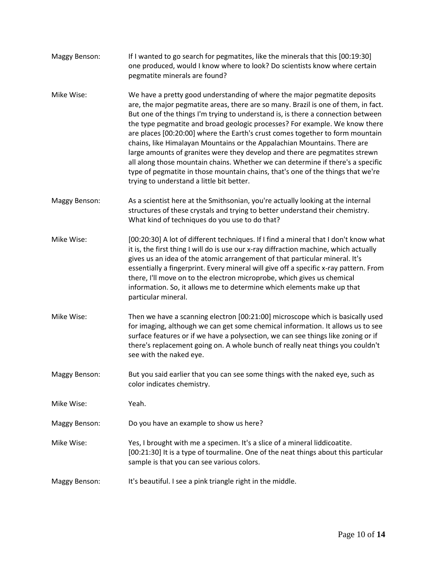| Maggy Benson:        | If I wanted to go search for pegmatites, like the minerals that this [00:19:30]<br>one produced, would I know where to look? Do scientists know where certain<br>pegmatite minerals are found?                                                                                                                                                                                                                                                                                                                                                                                                                                                                                                                                                                                                    |
|----------------------|---------------------------------------------------------------------------------------------------------------------------------------------------------------------------------------------------------------------------------------------------------------------------------------------------------------------------------------------------------------------------------------------------------------------------------------------------------------------------------------------------------------------------------------------------------------------------------------------------------------------------------------------------------------------------------------------------------------------------------------------------------------------------------------------------|
| Mike Wise:           | We have a pretty good understanding of where the major pegmatite deposits<br>are, the major pegmatite areas, there are so many. Brazil is one of them, in fact.<br>But one of the things I'm trying to understand is, is there a connection between<br>the type pegmatite and broad geologic processes? For example. We know there<br>are places [00:20:00] where the Earth's crust comes together to form mountain<br>chains, like Himalayan Mountains or the Appalachian Mountains. There are<br>large amounts of granites were they develop and there are pegmatites strewn<br>all along those mountain chains. Whether we can determine if there's a specific<br>type of pegmatite in those mountain chains, that's one of the things that we're<br>trying to understand a little bit better. |
| Maggy Benson:        | As a scientist here at the Smithsonian, you're actually looking at the internal<br>structures of these crystals and trying to better understand their chemistry.<br>What kind of techniques do you use to do that?                                                                                                                                                                                                                                                                                                                                                                                                                                                                                                                                                                                |
| Mike Wise:           | [00:20:30] A lot of different techniques. If I find a mineral that I don't know what<br>it is, the first thing I will do is use our x-ray diffraction machine, which actually<br>gives us an idea of the atomic arrangement of that particular mineral. It's<br>essentially a fingerprint. Every mineral will give off a specific x-ray pattern. From<br>there, I'll move on to the electron microprobe, which gives us chemical<br>information. So, it allows me to determine which elements make up that<br>particular mineral.                                                                                                                                                                                                                                                                 |
| Mike Wise:           | Then we have a scanning electron [00:21:00] microscope which is basically used<br>for imaging, although we can get some chemical information. It allows us to see<br>surface features or if we have a polysection, we can see things like zoning or if<br>there's replacement going on. A whole bunch of really neat things you couldn't<br>see with the naked eye.                                                                                                                                                                                                                                                                                                                                                                                                                               |
| Maggy Benson:        | But you said earlier that you can see some things with the naked eye, such as<br>color indicates chemistry.                                                                                                                                                                                                                                                                                                                                                                                                                                                                                                                                                                                                                                                                                       |
| Mike Wise:           | Yeah.                                                                                                                                                                                                                                                                                                                                                                                                                                                                                                                                                                                                                                                                                                                                                                                             |
| <b>Maggy Benson:</b> | Do you have an example to show us here?                                                                                                                                                                                                                                                                                                                                                                                                                                                                                                                                                                                                                                                                                                                                                           |
| Mike Wise:           | Yes, I brought with me a specimen. It's a slice of a mineral liddicoatite.<br>[00:21:30] It is a type of tourmaline. One of the neat things about this particular<br>sample is that you can see various colors.                                                                                                                                                                                                                                                                                                                                                                                                                                                                                                                                                                                   |
| <b>Maggy Benson:</b> | It's beautiful. I see a pink triangle right in the middle.                                                                                                                                                                                                                                                                                                                                                                                                                                                                                                                                                                                                                                                                                                                                        |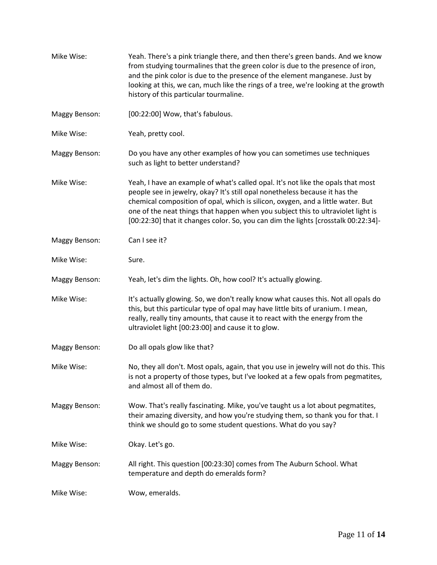| Mike Wise:    | Yeah. There's a pink triangle there, and then there's green bands. And we know<br>from studying tourmalines that the green color is due to the presence of iron,<br>and the pink color is due to the presence of the element manganese. Just by<br>looking at this, we can, much like the rings of a tree, we're looking at the growth<br>history of this particular tourmaline.                                             |
|---------------|------------------------------------------------------------------------------------------------------------------------------------------------------------------------------------------------------------------------------------------------------------------------------------------------------------------------------------------------------------------------------------------------------------------------------|
| Maggy Benson: | [00:22:00] Wow, that's fabulous.                                                                                                                                                                                                                                                                                                                                                                                             |
| Mike Wise:    | Yeah, pretty cool.                                                                                                                                                                                                                                                                                                                                                                                                           |
| Maggy Benson: | Do you have any other examples of how you can sometimes use techniques<br>such as light to better understand?                                                                                                                                                                                                                                                                                                                |
| Mike Wise:    | Yeah, I have an example of what's called opal. It's not like the opals that most<br>people see in jewelry, okay? It's still opal nonetheless because it has the<br>chemical composition of opal, which is silicon, oxygen, and a little water. But<br>one of the neat things that happen when you subject this to ultraviolet light is<br>[00:22:30] that it changes color. So, you can dim the lights [crosstalk 00:22:34]- |
| Maggy Benson: | Can I see it?                                                                                                                                                                                                                                                                                                                                                                                                                |
| Mike Wise:    | Sure.                                                                                                                                                                                                                                                                                                                                                                                                                        |
| Maggy Benson: | Yeah, let's dim the lights. Oh, how cool? It's actually glowing.                                                                                                                                                                                                                                                                                                                                                             |
| Mike Wise:    | It's actually glowing. So, we don't really know what causes this. Not all opals do<br>this, but this particular type of opal may have little bits of uranium. I mean,<br>really, really tiny amounts, that cause it to react with the energy from the<br>ultraviolet light [00:23:00] and cause it to glow.                                                                                                                  |
| Maggy Benson: | Do all opals glow like that?                                                                                                                                                                                                                                                                                                                                                                                                 |
| Mike Wise:    | No, they all don't. Most opals, again, that you use in jewelry will not do this. This<br>is not a property of those types, but I've looked at a few opals from pegmatites,<br>and almost all of them do.                                                                                                                                                                                                                     |
| Maggy Benson: | Wow. That's really fascinating. Mike, you've taught us a lot about pegmatites,<br>their amazing diversity, and how you're studying them, so thank you for that. I<br>think we should go to some student questions. What do you say?                                                                                                                                                                                          |
| Mike Wise:    | Okay. Let's go.                                                                                                                                                                                                                                                                                                                                                                                                              |
| Maggy Benson: | All right. This question [00:23:30] comes from The Auburn School. What<br>temperature and depth do emeralds form?                                                                                                                                                                                                                                                                                                            |
| Mike Wise:    | Wow, emeralds.                                                                                                                                                                                                                                                                                                                                                                                                               |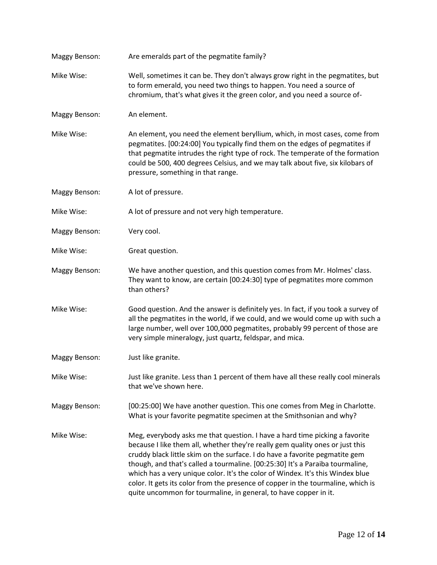| Maggy Benson:        | Are emeralds part of the pegmatite family?                                                                                                                                                                                                                                                                                                                                                                                                                                                                                                                             |
|----------------------|------------------------------------------------------------------------------------------------------------------------------------------------------------------------------------------------------------------------------------------------------------------------------------------------------------------------------------------------------------------------------------------------------------------------------------------------------------------------------------------------------------------------------------------------------------------------|
| Mike Wise:           | Well, sometimes it can be. They don't always grow right in the pegmatites, but<br>to form emerald, you need two things to happen. You need a source of<br>chromium, that's what gives it the green color, and you need a source of-                                                                                                                                                                                                                                                                                                                                    |
| Maggy Benson:        | An element.                                                                                                                                                                                                                                                                                                                                                                                                                                                                                                                                                            |
| Mike Wise:           | An element, you need the element beryllium, which, in most cases, come from<br>pegmatites. [00:24:00] You typically find them on the edges of pegmatites if<br>that pegmatite intrudes the right type of rock. The temperate of the formation<br>could be 500, 400 degrees Celsius, and we may talk about five, six kilobars of<br>pressure, something in that range.                                                                                                                                                                                                  |
| Maggy Benson:        | A lot of pressure.                                                                                                                                                                                                                                                                                                                                                                                                                                                                                                                                                     |
| Mike Wise:           | A lot of pressure and not very high temperature.                                                                                                                                                                                                                                                                                                                                                                                                                                                                                                                       |
| Maggy Benson:        | Very cool.                                                                                                                                                                                                                                                                                                                                                                                                                                                                                                                                                             |
| Mike Wise:           | Great question.                                                                                                                                                                                                                                                                                                                                                                                                                                                                                                                                                        |
| <b>Maggy Benson:</b> | We have another question, and this question comes from Mr. Holmes' class.<br>They want to know, are certain [00:24:30] type of pegmatites more common<br>than others?                                                                                                                                                                                                                                                                                                                                                                                                  |
| Mike Wise:           | Good question. And the answer is definitely yes. In fact, if you took a survey of<br>all the pegmatites in the world, if we could, and we would come up with such a<br>large number, well over 100,000 pegmatites, probably 99 percent of those are<br>very simple mineralogy, just quartz, feldspar, and mica.                                                                                                                                                                                                                                                        |
| Maggy Benson:        | Just like granite.                                                                                                                                                                                                                                                                                                                                                                                                                                                                                                                                                     |
| Mike Wise:           | Just like granite. Less than 1 percent of them have all these really cool minerals<br>that we've shown here.                                                                                                                                                                                                                                                                                                                                                                                                                                                           |
| Maggy Benson:        | [00:25:00] We have another question. This one comes from Meg in Charlotte.<br>What is your favorite pegmatite specimen at the Smithsonian and why?                                                                                                                                                                                                                                                                                                                                                                                                                     |
| Mike Wise:           | Meg, everybody asks me that question. I have a hard time picking a favorite<br>because I like them all, whether they're really gem quality ones or just this<br>cruddy black little skim on the surface. I do have a favorite pegmatite gem<br>though, and that's called a tourmaline. [00:25:30] It's a Paraiba tourmaline,<br>which has a very unique color. It's the color of Windex. It's this Windex blue<br>color. It gets its color from the presence of copper in the tourmaline, which is<br>quite uncommon for tourmaline, in general, to have copper in it. |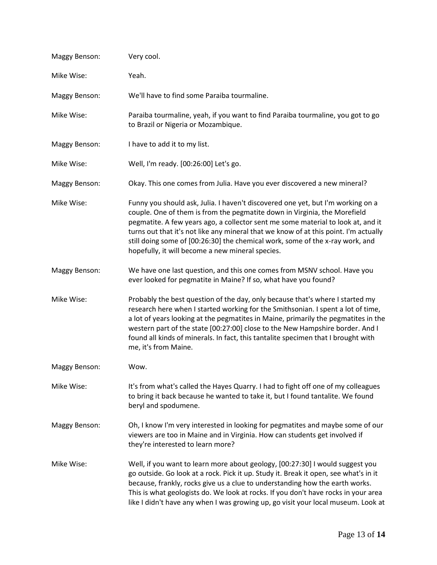| Maggy Benson:        | Very cool.                                                                                                                                                                                                                                                                                                                                                                                                                                                                    |
|----------------------|-------------------------------------------------------------------------------------------------------------------------------------------------------------------------------------------------------------------------------------------------------------------------------------------------------------------------------------------------------------------------------------------------------------------------------------------------------------------------------|
| Mike Wise:           | Yeah.                                                                                                                                                                                                                                                                                                                                                                                                                                                                         |
| <b>Maggy Benson:</b> | We'll have to find some Paraiba tourmaline.                                                                                                                                                                                                                                                                                                                                                                                                                                   |
| Mike Wise:           | Paraiba tourmaline, yeah, if you want to find Paraiba tourmaline, you got to go<br>to Brazil or Nigeria or Mozambique.                                                                                                                                                                                                                                                                                                                                                        |
| Maggy Benson:        | I have to add it to my list.                                                                                                                                                                                                                                                                                                                                                                                                                                                  |
| Mike Wise:           | Well, I'm ready. [00:26:00] Let's go.                                                                                                                                                                                                                                                                                                                                                                                                                                         |
| Maggy Benson:        | Okay. This one comes from Julia. Have you ever discovered a new mineral?                                                                                                                                                                                                                                                                                                                                                                                                      |
| Mike Wise:           | Funny you should ask, Julia. I haven't discovered one yet, but I'm working on a<br>couple. One of them is from the pegmatite down in Virginia, the Morefield<br>pegmatite. A few years ago, a collector sent me some material to look at, and it<br>turns out that it's not like any mineral that we know of at this point. I'm actually<br>still doing some of [00:26:30] the chemical work, some of the x-ray work, and<br>hopefully, it will become a new mineral species. |
| Maggy Benson:        | We have one last question, and this one comes from MSNV school. Have you<br>ever looked for pegmatite in Maine? If so, what have you found?                                                                                                                                                                                                                                                                                                                                   |
| Mike Wise:           | Probably the best question of the day, only because that's where I started my<br>research here when I started working for the Smithsonian. I spent a lot of time,<br>a lot of years looking at the pegmatites in Maine, primarily the pegmatites in the<br>western part of the state [00:27:00] close to the New Hampshire border. And I<br>found all kinds of minerals. In fact, this tantalite specimen that I brought with<br>me, it's from Maine.                         |
| Maggy Benson:        | Wow.                                                                                                                                                                                                                                                                                                                                                                                                                                                                          |
| Mike Wise:           | It's from what's called the Hayes Quarry. I had to fight off one of my colleagues<br>to bring it back because he wanted to take it, but I found tantalite. We found<br>beryl and spodumene.                                                                                                                                                                                                                                                                                   |
| Maggy Benson:        | Oh, I know I'm very interested in looking for pegmatites and maybe some of our<br>viewers are too in Maine and in Virginia. How can students get involved if<br>they're interested to learn more?                                                                                                                                                                                                                                                                             |
| Mike Wise:           | Well, if you want to learn more about geology, [00:27:30] I would suggest you<br>go outside. Go look at a rock. Pick it up. Study it. Break it open, see what's in it<br>because, frankly, rocks give us a clue to understanding how the earth works.<br>This is what geologists do. We look at rocks. If you don't have rocks in your area<br>like I didn't have any when I was growing up, go visit your local museum. Look at                                              |